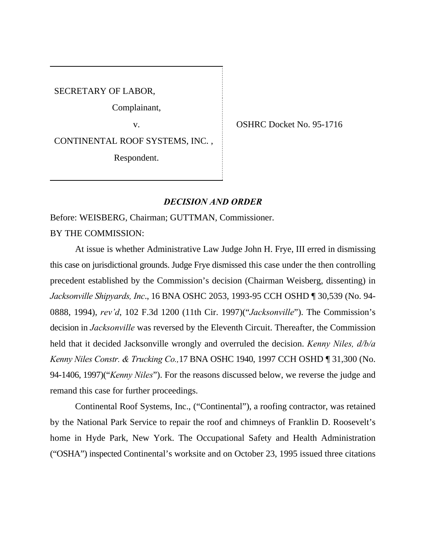SECRETARY OF LABOR,

Complainant,

CONTINENTAL ROOF SYSTEMS, INC. ,

Respondent.

v. SHRC Docket No. 95-1716

## *DECISION AND ORDER*

Before: WEISBERG, Chairman; GUTTMAN, Commissioner.

BY THE COMMISSION:

At issue is whether Administrative Law Judge John H. Frye, III erred in dismissing this case on jurisdictional grounds. Judge Frye dismissed this case under the then controlling precedent established by the Commission's decision (Chairman Weisberg, dissenting) in *Jacksonville Shipyards, Inc*., 16 BNA OSHC 2053, 1993-95 CCH OSHD ¶ 30,539 (No. 94- 0888, 1994), *rev'd*, 102 F.3d 1200 (11th Cir. 1997)("*Jacksonville*"). The Commission's decision in *Jacksonville* was reversed by the Eleventh Circuit. Thereafter, the Commission held that it decided Jacksonville wrongly and overruled the decision. *Kenny Niles, d/b/a Kenny Niles Constr. & Trucking Co.,*17 BNA OSHC 1940, 1997 CCH OSHD ¶ 31,300 (No. 94-1406, 1997)("*Kenny Niles*"). For the reasons discussed below, we reverse the judge and remand this case for further proceedings.

Continental Roof Systems, Inc., ("Continental"), a roofing contractor, was retained by the National Park Service to repair the roof and chimneys of Franklin D. Roosevelt's home in Hyde Park, New York. The Occupational Safety and Health Administration ("OSHA") inspected Continental's worksite and on October 23, 1995 issued three citations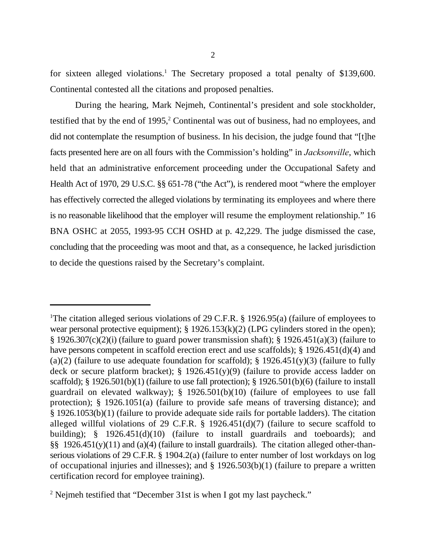for sixteen alleged violations.<sup>1</sup> The Secretary proposed a total penalty of \$139,600. Continental contested all the citations and proposed penalties.

During the hearing, Mark Nejmeh, Continental's president and sole stockholder, testified that by the end of  $1995$ ,  $2$  Continental was out of business, had no employees, and did not contemplate the resumption of business. In his decision, the judge found that "[t]he facts presented here are on all fours with the Commission's holding" in *Jacksonville*, which held that an administrative enforcement proceeding under the Occupational Safety and Health Act of 1970, 29 U.S.C. §§ 651-78 ("the Act"), is rendered moot "where the employer has effectively corrected the alleged violations by terminating its employees and where there is no reasonable likelihood that the employer will resume the employment relationship." 16 BNA OSHC at 2055, 1993-95 CCH OSHD at p. 42,229. The judge dismissed the case, concluding that the proceeding was moot and that, as a consequence, he lacked jurisdiction to decide the questions raised by the Secretary's complaint.

<sup>&</sup>lt;sup>1</sup>The citation alleged serious violations of 29 C.F.R. § 1926.95(a) (failure of employees to wear personal protective equipment); § 1926.153(k)(2) (LPG cylinders stored in the open); § 1926.307(c)(2)(i) (failure to guard power transmission shaft); § 1926.451(a)(3) (failure to have persons competent in scaffold erection erect and use scaffolds); § 1926.451(d)(4) and (a)(2) (failure to use adequate foundation for scaffold);  $\S$  1926.451(y)(3) (failure to fully deck or secure platform bracket);  $\S$  1926.451(y)(9) (failure to provide access ladder on scaffold); § 1926.501(b)(1) (failure to use fall protection); § 1926.501(b)(6) (failure to install guardrail on elevated walkway); § 1926.501(b)(10) (failure of employees to use fall protection); § 1926.1051(a) (failure to provide safe means of traversing distance); and § 1926.1053(b)(1) (failure to provide adequate side rails for portable ladders). The citation alleged willful violations of 29 C.F.R. § 1926.451(d)(7) (failure to secure scaffold to building); § 1926.451(d)(10) (failure to install guardrails and toeboards); and §§ 1926.451(y)(11) and (a)(4) (failure to install guardrails). The citation alleged other-thanserious violations of 29 C.F.R. § 1904.2(a) (failure to enter number of lost workdays on log of occupational injuries and illnesses); and § 1926.503(b)(1) (failure to prepare a written certification record for employee training).

<sup>&</sup>lt;sup>2</sup> Nejmeh testified that "December 31st is when I got my last paycheck."